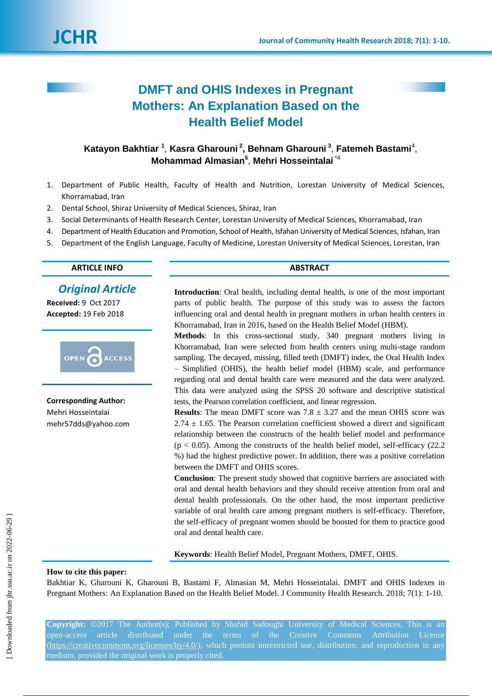

# **DMFT and OHIS Indexes in Pregnant Mothers: An Explanation Based on the Health Belief Model**

# **Katayon Bakhtiar <sup>1</sup>** , **Kasra Gharouni <sup>2</sup> , Behnam Gharouni <sup>3</sup>** , **Fatemeh Bastami**<sup>4</sup> , **Mohammad Almasian<sup>5</sup>** , **Mehri Hosseintalai** \*4

- 1. Department of Public Health, Faculty of Health and Nutrition, Lorestan University of Medical Sciences, Khorramabad, Iran
- 2. Dental School, Shiraz University of Medical Sciences, Shiraz, Iran
- 3. Social Determinants of Health Research Center, Lorestan University of Medical Sciences, Khorramabad, Iran
- 4. Department of Health Education and Promotion, School of Health, Isfahan University of Medical Sciences, Isfahan, Iran
- 5. Department of the English Language, Faculty of Medicine, Lorestan University of Medical Sciences, Lorestan, Iran

# **ARTICLE INFO ABSTRACT**

# *Original Article*

**Received:** 9 Oct 2017 **Accepted:** 19 Feb 2018



**Corresponding Author:** Mehri Hosseintalai [mehr57dds@yahoo.com](mailto:mehr57dds@yahoo.com)

**Introduction**: Oral health, including dental health, is one of the most important parts of public health. The purpose of this study was to assess the factors influencing oral and dental health in pregnant mothers in urban health centers in Khorramabad, Iran in 2016, based on the Health Belief Model (HBM).

**Methods**: In this cross-sectional study, 340 pregnant mothers living in Khorramabad, Iran were selected from health centers using multi-stage random sampling. The decayed, missing, filled teeth (DMFT) index, the Oral Health Index – Simplified (OHIS), the health belief model (HBM) scale, and performance regarding oral and dental health care were measured and the data were analyzed. This data were analyzed using the SPSS 20 software and descriptive statistical tests, the Pearson correlation coefficient, and linear regression.

**Results**: The mean DMFT score was  $7.8 \pm 3.27$  and the mean OHIS score was  $2.74 \pm 1.65$ . The Pearson correlation coefficient showed a direct and significant relationship between the constructs of the health belief model and performance  $(p < 0.05)$ . Among the constructs of the health belief model, self-efficacy  $(22.2)$ %) had the highest predictive power. In addition, there was a positive correlation between the DMFT and OHIS scores.

**Conclusion**: The present study showed that cognitive barriers are associated with oral and dental health behaviors and they should receive attention from oral and dental health professionals. On the other hand, the most important predictive variable of oral health care among pregnant mothers is self-efficacy. Therefore, the self-efficacy of pregnant women should be boosted for them to practice good oral and dental health care.

**Keywords**: Health Belief Model, Pregnant Mothers, DMFT, OHIS.

#### **How to cite this paper:**

Bakhtiar K, Gharouni K, Gharouni B, Bastami F, Almasian M, Mehri Hosseintalai. DMFT and OHIS Indexes in Pregnant Mothers: An Explanation Based on the Health Belief Model. J Community Health Research. 2018; 7(1): 1-10.

**Copyright:** ©2017 The Author(s); Published by Shahid Sadoughi University of Medical Sciences. This is an [\(https://creativecommons.org/licenses/by/4.0/\)](https://creativecommons.org/licenses/by/4.0/), which permits unrestricted use, distribution, and reproduction in any medium, provided the original work is properly cited.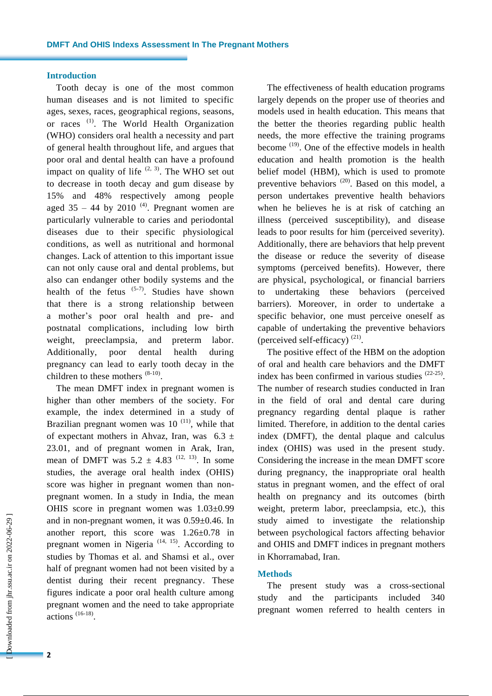### **Introduction**

Tooth decay is one of the most common human diseases and is not limited to specific ages, sexes, races, geographical regions, seasons, or races<sup>(1)</sup>. The World Health Organization (WHO) considers oral health a necessity and part of general health throughout life, and argues that poor oral and dental health can have a profound impact on quality of life  $(2, 3)$ . The WHO set out to decrease in tooth decay and gum disease by 15% and 48% respectively among people aged  $35 - 44$  by  $2010^{(4)}$ . Pregnant women are particularly vulnerable to caries and periodontal diseases due to their specific physiological conditions, as well as nutritional and hormonal changes. Lack of attention to this important issue can not only cause oral and dental problems, but also can endanger other bodily systems and the health of the fetus  $(5-7)$ . Studies have shown that there is a strong relationship between a mother's poor oral health and pre- and postnatal complications, including low birth weight, preeclampsia, and preterm labor. Additionally, poor dental health during pregnancy can lead to early tooth decay in the children to these mothers  $(8-10)$ .

The mean DMFT index in pregnant women is higher than other members of the society. For example, the index determined in a study of Brazilian pregnant women was  $10^{(11)}$ , while that of expectant mothers in Ahvaz, Iran, was  $6.3 \pm$ 23.01, and of pregnant women in Arak, Iran, mean of DMFT was  $5.2 \pm 4.83$  <sup>(12, 13)</sup>. In some studies, the average oral health index (OHIS) score was higher in pregnant women than nonpregnant women. In a study in India, the mean OHIS score in pregnant women was 1.03±0.99 and in non-pregnant women, it was 0.59±0.46. In another report, this score was 1.26±0.78 in pregnant women in Nigeria<sup> $(14, 15)$ </sup>. According to studies by Thomas et al. and Shamsi et al., over half of pregnant women had not been visited by a dentist during their recent pregnancy. These figures indicate a poor oral health culture among pregnant women and the need to take appropriate actions (16-18) .

The effectiveness of health education programs largely depends on the proper use of theories and models used in health education. This means that the better the theories regarding public health needs, the more effective the training programs become <sup>(19)</sup>. One of the effective models in health education and health promotion is the health belief model (HBM), which is used to promote preventive behaviors <sup>(20)</sup>. Based on this model, a person undertakes preventive health behaviors when he believes he is at risk of catching an illness (perceived susceptibility), and disease leads to poor results for him (perceived severity). Additionally, there are behaviors that help prevent the disease or reduce the severity of disease symptoms (perceived benefits). However, there are physical, psychological, or financial barriers to undertaking these behaviors (perceived barriers). Moreover, in order to undertake a specific behavior, one must perceive oneself as capable of undertaking the preventive behaviors (perceived self-efficacy) $(21)$ .

The positive effect of the HBM on the adoption of oral and health care behaviors and the DMFT index has been confirmed in various studies  $(22-25)$ . The number of research studies conducted in Iran in the field of oral and dental care during pregnancy regarding dental plaque is rather limited. Therefore, in addition to the dental caries index (DMFT), the dental plaque and calculus index (OHIS) was used in the present study. Considering the increase in the mean DMFT score during pregnancy, the inappropriate oral health status in pregnant women, and the effect of oral health on pregnancy and its outcomes (birth weight, preterm labor, preeclampsia, etc.), this study aimed to investigate the relationship between psychological factors affecting behavior and OHIS and DMFT indices in pregnant mothers in Khorramabad, Iran.

# **Methods**

The present study was a cross-sectional study and the participants included 340 pregnant women referred to health centers in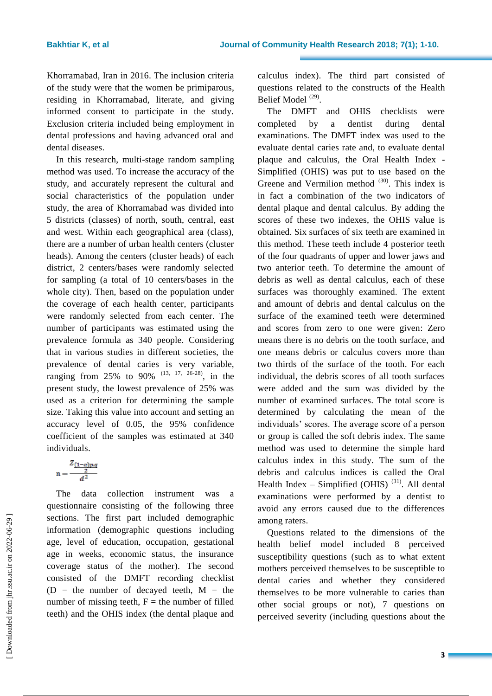Khorramabad, Iran in 2016. The inclusion criteria of the study were that the women be primiparous, residing in Khorramabad, literate, and giving informed consent to participate in the study. Exclusion criteria included being employment in dental professions and having advanced oral and dental diseases.

In this research, multi-stage random sampling method was used. To increase the accuracy of the study, and accurately represent the cultural and social characteristics of the population under study, the area of Khorramabad was divided into 5 districts (classes) of north, south, central, east and west. Within each geographical area (class), there are a number of urban health centers (cluster heads). Among the centers (cluster heads) of each district, 2 centers/bases were randomly selected for sampling (a total of 10 centers/bases in the whole city). Then, based on the population under the coverage of each health center, participants were randomly selected from each center. The number of participants was estimated using the prevalence formula as 340 people. Considering that in various studies in different societies, the prevalence of dental caries is very variable, ranging from 25% to 90%  $(13, 17, 26-28)$ , in the present study, the lowest prevalence of 25% was used as a criterion for determining the sample size. Taking this value into account and setting an accuracy level of 0.05, the 95% confidence coefficient of the samples was estimated at 340 individuals.

$$
n = \frac{\frac{Z_{(1-\alpha)p,q}}{2}}{d^2}
$$

The data collection instrument was a questionnaire consisting of the following three sections. The first part included demographic information (demographic questions including age, level of education, occupation, gestational age in weeks, economic status, the insurance coverage status of the mother). The second consisted of the DMFT recording checklist ( $D =$  the number of decayed teeth,  $M =$  the number of missing teeth,  $F =$  the number of filled teeth) and the OHIS index (the dental plaque and calculus index). The third part consisted of questions related to the constructs of the Health Belief Model<sup>(29)</sup>.

The DMFT and OHIS checklists were completed by a dentist during dental examinations. The DMFT index was used to the evaluate dental caries rate and, to evaluate dental plaque and calculus, the Oral Health Index - Simplified (OHIS) was put to use based on the Greene and Vermilion method  $(30)$ . This index is in fact a combination of the two indicators of dental plaque and dental calculus. By adding the scores of these two indexes, the OHIS value is obtained. Six surfaces of six teeth are examined in this method. These teeth include 4 posterior teeth of the four quadrants of upper and lower jaws and two anterior teeth. To determine the amount of debris as well as dental calculus, each of these surfaces was thoroughly examined. The extent and amount of debris and dental calculus on the surface of the examined teeth were determined and scores from zero to one were given: Zero means there is no debris on the tooth surface, and one means debris or calculus covers more than two thirds of the surface of the tooth. For each individual, the debris scores of all tooth surfaces were added and the sum was divided by the number of examined surfaces. The total score is determined by calculating the mean of the individuals' scores. The average score of a person or group is called the soft debris index. The same method was used to determine the simple hard calculus index in this study. The sum of the debris and calculus indices is called the Oral Health Index  $-$  Simplified (OHIS)<sup>(31)</sup>. All dental examinations were performed by a dentist to avoid any errors caused due to the differences among raters.

Questions related to the dimensions of the health belief model included 8 perceived susceptibility questions (such as to what extent mothers perceived themselves to be susceptible to dental caries and whether they considered themselves to be more vulnerable to caries than other social groups or not), 7 questions on perceived severity (including questions about the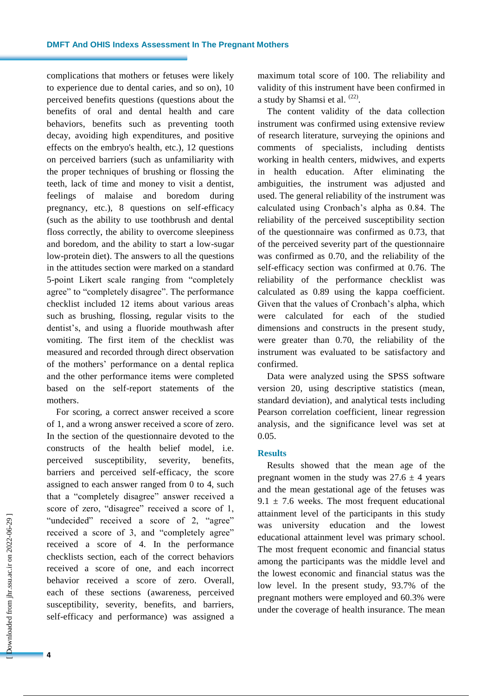complications that mothers or fetuses were likely to experience due to dental caries, and so on), 10 perceived benefits questions (questions about the benefits of oral and dental health and care behaviors, benefits such as preventing tooth decay, avoiding high expenditures, and positive effects on the embryo's health, etc.), 12 questions on perceived barriers (such as unfamiliarity with the proper techniques of brushing or flossing the teeth, lack of time and money to visit a dentist, feelings of malaise and boredom during pregnancy, etc.), 8 questions on self-efficacy (such as the ability to use toothbrush and dental floss correctly, the ability to overcome sleepiness and boredom, and the ability to start a low-sugar low-protein diet). The answers to all the questions in the attitudes section were marked on a standard 5-point Likert scale ranging from "completely agree" to "completely disagree". The performance checklist included 12 items about various areas such as brushing, flossing, regular visits to the dentist's, and using a fluoride mouthwash after vomiting. The first item of the checklist was measured and recorded through direct observation of the mothers' performance on a dental replica and the other performance items were completed based on the self-report statements of the mothers.

For scoring, a correct answer received a score of 1, and a wrong answer received a score of zero. In the section of the questionnaire devoted to the constructs of the health belief model, i.e. perceived susceptibility, severity, benefits, barriers and perceived self-efficacy, the score assigned to each answer ranged from 0 to 4, such that a "completely disagree" answer received a score of zero, "disagree" received a score of 1, "undecided" received a score of 2, "agree" received a score of 3, and "completely agree" received a score of 4. In the performance checklists section, each of the correct behaviors received a score of one, and each incorrect behavior received a score of zero. Overall, each of these sections (awareness, perceived susceptibility, severity, benefits, and barriers, self-efficacy and performance) was assigned a maximum total score of 100. The reliability and validity of this instrument have been confirmed in a study by Shamsi et al.  $(22)$ .

The content validity of the data collection instrument was confirmed using extensive review of research literature, surveying the opinions and comments of specialists, including dentists working in health centers, midwives, and experts in health education. After eliminating the ambiguities, the instrument was adjusted and used. The general reliability of the instrument was calculated using Cronbach's alpha as 0.84. The reliability of the perceived susceptibility section of the questionnaire was confirmed as 0.73, that of the perceived severity part of the questionnaire was confirmed as 0.70, and the reliability of the self-efficacy section was confirmed at 0.76. The reliability of the performance checklist was calculated as 0.89 using the kappa coefficient. Given that the values of Cronbach's alpha, which were calculated for each of the studied dimensions and constructs in the present study, were greater than 0.70, the reliability of the instrument was evaluated to be satisfactory and confirmed.

Data were analyzed using the SPSS software version 20, using descriptive statistics (mean, standard deviation), and analytical tests including Pearson correlation coefficient, linear regression analysis, and the significance level was set at 0.05.

# **Results**

Results showed that the mean age of the pregnant women in the study was  $27.6 \pm 4$  years and the mean gestational age of the fetuses was  $9.1 \pm 7.6$  weeks. The most frequent educational attainment level of the participants in this study was university education and the lowest educational attainment level was primary school. The most frequent economic and financial status among the participants was the middle level and the lowest economic and financial status was the low level. In the present study, 93.7% of the pregnant mothers were employed and 60.3% were under the coverage of health insurance. The mean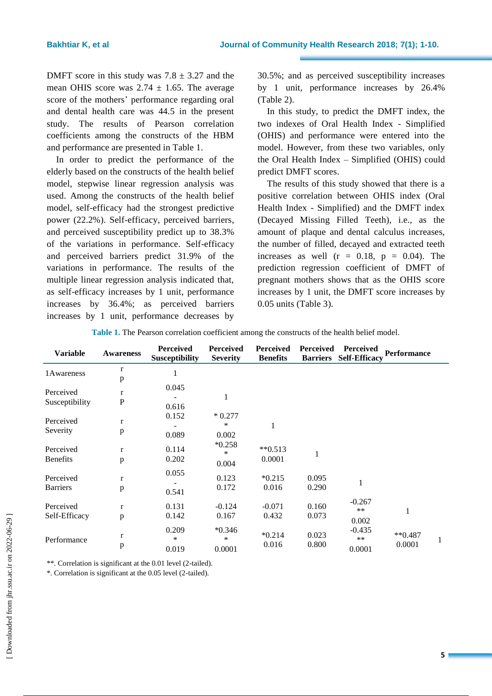DMFT score in this study was  $7.8 \pm 3.27$  and the mean OHIS score was  $2.74 \pm 1.65$ . The average score of the mothers' performance regarding oral and dental health care was 44.5 in the present study. The results of Pearson correlation coefficients among the constructs of the HBM and performance are presented in Table 1.

In order to predict the performance of the elderly based on the constructs of the health belief model, stepwise linear regression analysis was used. Among the constructs of the health belief model, self-efficacy had the strongest predictive power (22.2%). Self-efficacy, perceived barriers, and perceived susceptibility predict up to 38.3% of the variations in performance. Self-efficacy and perceived barriers predict 31.9% of the variations in performance. The results of the multiple linear regression analysis indicated that, as self-efficacy increases by 1 unit, performance increases by 36.4%; as perceived barriers increases by 1 unit, performance decreases by

30.5%; and as perceived susceptibility increases by 1 unit, performance increases by 26.4% (Table 2).

In this study, to predict the DMFT index, the two indexes of Oral Health Index - Simplified (OHIS) and performance were entered into the model. However, from these two variables, only the Oral Health Index – Simplified (OHIS) could predict DMFT scores.

The results of this study showed that there is a positive correlation between OHIS index (Oral Health Index - Simplified) and the DMFT index (Decayed Missing Filled Teeth), i.e., as the amount of plaque and dental calculus increases, the number of filled, decayed and extracted teeth increases as well  $(r = 0.18, p = 0.04)$ . The prediction regression coefficient of DMFT of pregnant mothers shows that as the OHIS score increases by 1 unit, the DMFT score increases by 0.05 units (Table 3).

| <b>Variable</b>              | <b>Awareness</b>             | <b>Perceived</b><br><b>Susceptibility</b> | <b>Perceived</b><br><b>Severity</b> | <b>Perceived</b><br><b>Benefits</b> | <b>Perceived</b><br><b>Barriers</b> | <b>Perceived</b><br><b>Self-Efficacy</b> | <b>Performance</b>     |   |
|------------------------------|------------------------------|-------------------------------------------|-------------------------------------|-------------------------------------|-------------------------------------|------------------------------------------|------------------------|---|
| 1 Awareness                  | $\bf r$<br>$\, {\bf p}$      | 1                                         |                                     |                                     |                                     |                                          |                        |   |
| Perceived<br>Susceptibility  | $\mathbf r$<br>${\bf P}$     | 0.045<br>0.616                            | 1                                   |                                     |                                     |                                          |                        |   |
| Perceived<br>Severity        | $\mathbf r$<br>p             | 0.152<br>0.089                            | $*0.277$<br>$\ast$<br>0.002         | $\mathbf{1}$                        |                                     |                                          |                        |   |
| Perceived<br><b>Benefits</b> | $\mathbf{r}$<br>$\, {\bf p}$ | 0.114<br>0.202                            | $*0.258$<br>$\ast$<br>0.004         | $**0.513$<br>0.0001                 | 1                                   |                                          |                        |   |
| Perceived<br><b>Barriers</b> | $\mathbf r$<br>p             | 0.055<br>0.541                            | 0.123<br>0.172                      | $*0.215$<br>0.016                   | 0.095<br>0.290                      | 1                                        |                        |   |
| Perceived<br>Self-Efficacy   | $\mathbf{r}$<br>p            | 0.131<br>0.142                            | $-0.124$<br>0.167                   | $-0.071$<br>0.432                   | 0.160<br>0.073                      | $-0.267$<br>$**$<br>0.002                | $\mathbf{1}$           |   |
| Performance                  | $\bf r$<br>$\, {\bf p}$      | 0.209<br>*<br>0.019                       | $*0.346$<br>$\ast$<br>0.0001        | $*0.214$<br>0.016                   | 0.023<br>0.800                      | $-0.435$<br>$**$<br>0.0001               | $*$ $*0.487$<br>0.0001 | 1 |

**Table 1.** The Pearson correlation coefficient among the constructs of the health belief model.

\*\*. Correlation is significant at the 0.01 level (2-tailed).

\*. Correlation is significant at the 0.05 level (2-tailed).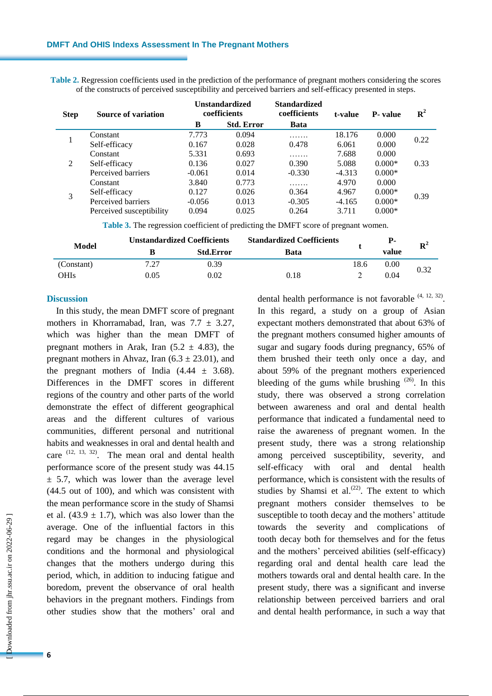**Table 2.** Regression coefficients used in the prediction of the performance of pregnant mothers considering the scores of the constructs of perceived susceptibility and perceived barriers and self-efficacy presented in steps.

| <b>Step</b> | Source of variation      | <b>Unstandardized</b><br>coefficients |                   | <b>Standardized</b><br>coefficients | t-value  | <b>P</b> -value | $\mathbf{R}^2$ |  |
|-------------|--------------------------|---------------------------------------|-------------------|-------------------------------------|----------|-----------------|----------------|--|
|             |                          | B                                     | <b>Std. Error</b> | <b>Bata</b>                         |          |                 |                |  |
|             | Constant                 | 7.773                                 | 0.094             | .                                   | 18.176   | 0.000           | 0.22           |  |
|             | Self-efficacy            | 0.167                                 | 0.028             | 0.478                               | 6.061    | 0.000           |                |  |
| 2           | Constant                 | 5.331                                 | 0.693             | .                                   | 7.688    | 0.000           |                |  |
|             | Self-efficacy            | 0.136                                 | 0.027             | 0.390                               | 5.088    | $0.000*$        | 0.33           |  |
|             | Perceived barriers       | $-0.061$                              | 0.014             | $-0.330$                            | $-4.313$ | $0.000*$        |                |  |
|             | Constant                 | 3.840                                 | 0.773             | .                                   | 4.970    | 0.000           | 0.39           |  |
|             | Self-efficacy            | 0.127                                 | 0.026             | 0.364                               | 4.967    | $0.000*$        |                |  |
|             | Perceived barriers       | $-0.056$                              | 0.013             | $-0.305$                            | $-4.165$ | $0.000*$        |                |  |
|             | Perceived susceptibility | 0.094                                 | 0.025             | 0.264                               | 3.711    | $0.000*$        |                |  |
|             |                          |                                       |                   |                                     |          |                 |                |  |

**Table 3.** The regression coefficient of predicting the DMFT score of pregnant women.

| Model       |      | <b>Unstandardized Coefficients</b> | <b>Standardized Coefficients</b> |      | Р-    | ${\bf R}^2$ |
|-------------|------|------------------------------------|----------------------------------|------|-------|-------------|
|             |      | <b>Std.Error</b>                   | Bata                             |      | value |             |
| (Constant)  | 7.27 | 0.39                               |                                  | 18.6 | 0.00  | 0.32        |
| <b>OHIs</b> | 0.05 | 0.02                               | 0.18                             |      | 0.04  |             |

#### **Discussion**

In this study, the mean DMFT score of pregnant mothers in Khorramabad, Iran, was  $7.7 \pm 3.27$ , which was higher than the mean DMFT of pregnant mothers in Arak, Iran  $(5.2 \pm 4.83)$ , the pregnant mothers in Ahvaz, Iran  $(6.3 \pm 23.01)$ , and the pregnant mothers of India  $(4.44 \pm 3.68)$ . Differences in the DMFT scores in different regions of the country and other parts of the world demonstrate the effect of different geographical areas and the different cultures of various communities, different personal and nutritional habits and weaknesses in oral and dental health and care  $(12, 13, 32)$ . The mean oral and dental health performance score of the present study was 44.15  $\pm$  5.7, which was lower than the average level (44.5 out of 100), and which was consistent with the mean performance score in the study of Shamsi et al.  $(43.9 \pm 1.7)$ , which was also lower than the average. One of the influential factors in this regard may be changes in the physiological conditions and the hormonal and physiological changes that the mothers undergo during this period, which, in addition to inducing fatigue and boredom, prevent the observance of oral health behaviors in the pregnant mothers. Findings from other studies show that the mothers' oral and

dental health performance is not favorable  $(4, 12, 32)$ . In this regard, a study on a group of Asian expectant mothers demonstrated that about 63% of the pregnant mothers consumed higher amounts of sugar and sugary foods during pregnancy, 65% of them brushed their teeth only once a day, and about 59% of the pregnant mothers experienced bleeding of the gums while brushing  $(26)$ . In this study, there was observed a strong correlation between awareness and oral and dental health performance that indicated a fundamental need to raise the awareness of pregnant women. In the present study, there was a strong relationship among perceived susceptibility, severity, and self-efficacy with oral and dental health performance, which is consistent with the results of studies by Shamsi et al. $(22)$ . The extent to which pregnant mothers consider themselves to be susceptible to tooth decay and the mothers' attitude towards the severity and complications of tooth decay both for themselves and for the fetus and the mothers' perceived abilities (self-efficacy) regarding oral and dental health care lead the mothers towards oral and dental health care. In the present study, there was a significant and inverse relationship between perceived barriers and oral and dental health performance, in such a way that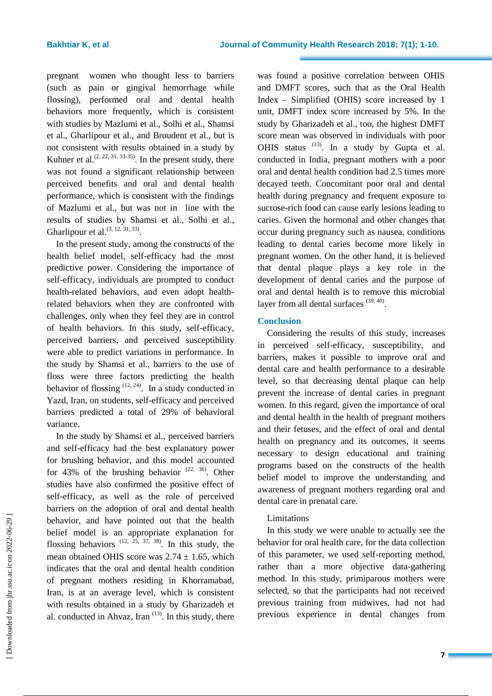pregnant women who thought less to barriers (such as pain or gingival hemorrhage while flossing), performed oral and dental health behaviors more frequently, which is consistent with studies by Mazlumi et al., Solhi et al., Shamsi et al., Gharlipour et al., and Broudent et al., but is not consistent with results obtained in a study by Kuhner et al.<sup> $(2, 22, 31, 33.35)$ </sup>. In the present study, there was not found a significant relationship between perceived benefits and oral and dental health performance, which is consistent with the findings of Mazlumi et al., but was not in line with the results of studies by Shamsi et al., Solhi et al., Gharlipour et al.  $(3, 12, 31, 33)$ .

In the present study, among the constructs of the health belief model, self-efficacy had the most predictive power. Considering the importance of self-efficacy, individuals are prompted to conduct health-related behaviors, and even adopt healthrelated behaviors when they are confronted with challenges, only when they feel they are in control of health behaviors. In this study, self-efficacy, perceived barriers, and perceived susceptibility were able to predict variations in performance. In the study by Shamsi et al., barriers to the use of floss were three factors predicting the health behavior of flossing  $(12, 24)$ . In a study conducted in Yazd, Iran, on students, self-efficacy and perceived barriers predicted a total of 29% of behavioral variance.

In the study by Shamsi et al., perceived barriers and self-efficacy had the best explanatory power for brushing behavior, and this model accounted for 43% of the brushing behavior  $(22, 36)$ . Other studies have also confirmed the positive effect of self-efficacy, as well as the role of perceived barriers on the adoption of oral and dental health behavior, and have pointed out that the health belief model is an appropriate explanation for flossing behaviors  $(12, 25, 37, 38)$ . In this study, the mean obtained OHIS score was  $2.74 \pm 1.65$ , which indicates that the oral and dental health condition of pregnant mothers residing in Khorramabad, Iran, is at an average level, which is consistent with results obtained in a study by Gharizadeh et al. conducted in Ahvaz, Iran  $(13)$ . In this study, there was found a positive correlation between OHIS and DMFT scores, such that as the Oral Health Index – Simplified (OHIS) score increased by 1 unit, DMFT index score increased by 5%. In the study by Gharizadeh et al., too, the highest DMFT score mean was observed in individuals with poor OHIS status  $(13)$ . In a study by Gupta et al. conducted in India, pregnant mothers with a poor oral and dental health condition had 2.5 times more decayed teeth. Concomitant poor oral and dental health during pregnancy and frequent exposure to sucrose-rich food can cause early lesions leading to caries. Given the hormonal and other changes that occur during pregnancy such as nausea, conditions leading to dental caries become more likely in pregnant women. On the other hand, it is believed that dental plaque plays a key role in the development of dental caries and the purpose of oral and dental health is to remove this microbial layer from all dental surfaces  $(39, 40)$ .

# **Conclusion**

Considering the results of this study, increases in perceived self-efficacy, susceptibility, and barriers, makes it possible to improve oral and dental care and health performance to a desirable level, so that decreasing dental plaque can help prevent the increase of dental caries in pregnant women. In this regard, given the importance of oral and dental health in the health of pregnant mothers and their fetuses, and the effect of oral and dental health on pregnancy and its outcomes, it seems necessary to design educational and training programs based on the constructs of the health belief model to improve the understanding and awareness of pregnant mothers regarding oral and dental care in prenatal care.

# Limitations

In this study we were unable to actually see the behavior for oral health care, for the data collection of this parameter, we used self-reporting method, rather than a more objective data-gathering method. In this study, primiparous mothers were selected, so that the participants had not received previous training from midwives, had not had previous experience in dental changes from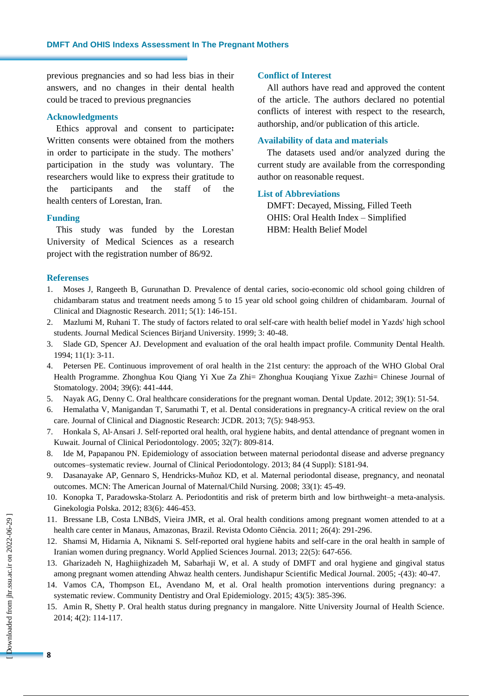previous pregnancies and so had less bias in their answers, and no changes in their dental health could be traced to previous pregnancies

# **Acknowledgments**

Ethics approval and consent to participate**:**  Written consents were obtained from the mothers in order to participate in the study. The mothers' participation in the study was voluntary. The researchers would like to express their gratitude to the participants and the staff of the health centers of Lorestan, Iran.

#### **Funding**

This study was funded by the Lorestan University of Medical Sciences as a research project with the registration number of 86/92.

#### **Conflict of Interest**

All authors have read and approved the content of the article. The authors declared no potential conflicts of interest with respect to the research, authorship, and/or publication of this article.

# **Availability of data and materials**

The datasets used and/or analyzed during the current study are available from the corresponding author on reasonable request.

# **List of Abbreviations**

DMFT: Decayed, Missing, Filled Teeth OHIS: Oral Health Index – Simplified HBM: Health Belief Model

### **Referenses**

- 1. Moses J, Rangeeth B, Gurunathan D. Prevalence of dental caries, socio-economic old school going children of chidambaram status and treatment needs among 5 to 15 year old school going children of chidambaram. Journal of Clinical and Diagnostic Research. 2011; 5(1): 146-151.
- 2. Mazlumi M, Ruhani T. The study of factors related to oral self-care with health belief model in Yazds' high school students. Journal Medical Sciences Birjand University. 1999; 3: 40-48.
- 3. Slade GD, Spencer AJ. Development and evaluation of the oral health impact profile. Community Dental Health. 1994; 11(1): 3-11.
- 4. Petersen PE. Continuous improvement of oral health in the 21st century: the approach of the WHO Global Oral Health Programme. Zhonghua Kou Qiang Yi Xue Za Zhi= Zhonghua Kouqiang Yixue Zazhi= Chinese Journal of Stomatology. 2004; 39(6): 441-444.
- 5. Nayak AG, Denny C. Oral healthcare considerations for the pregnant woman. Dental Update. 2012; 39(1): 51-54.
- 6. Hemalatha V, Manigandan T, Sarumathi T, et al. Dental considerations in pregnancy-A critical review on the oral care. Journal of Clinical and Diagnostic Research: JCDR. 2013; 7(5): 948-953.
- 7. Honkala S, Al‐Ansari J. Self‐reported oral health, oral hygiene habits, and dental attendance of pregnant women in Kuwait. Journal of Clinical Periodontology. 2005; 32(7): 809-814.
- 8. Ide M, Papapanou PN. Epidemiology of association between maternal periodontal disease and adverse pregnancy outcomes–systematic review. Journal of Clinical Periodontology. 2013; 84 (4 Suppl): S181-94.
- 9. Dasanayake AP, Gennaro S, Hendricks-Muñoz KD, et al. Maternal periodontal disease, pregnancy, and neonatal outcomes. MCN: The American Journal of Maternal/Child Nursing. 2008; 33(1): 45-49.
- 10. Konopka T, Paradowska-Stolarz A. Periodontitis and risk of preterm birth and low birthweight–a meta-analysis. Ginekologia Polska. 2012; 83(6): 446-453.
- 11. Bressane LB, Costa LNBdS, Vieira JMR, et al. Oral health conditions among pregnant women attended to at a health care center in Manaus, Amazonas, Brazil. Revista Odonto Ciência. 2011; 26(4): 291-296.
- 12. Shamsi M, Hidarnia A, Niknami S. Self-reported oral hygiene habits and self-care in the oral health in sample of Iranian women during pregnancy. World Applied Sciences Journal. 2013; 22(5): 647-656.
- 13. Gharizadeh N, Haghiighizadeh M, Sabarhaji W, et al. A study of DMFT and oral hygiene and gingival status among pregnant women attending Ahwaz health centers. Jundishapur Scientific Medical Journal. 2005; -(43): 40-47.
- 14. Vamos CA, Thompson EL, Avendano M, et al. Oral health promotion interventions during pregnancy: a systematic review. Community Dentistry and Oral Epidemiology. 2015; 43(5): 385-396.
- 15. Amin R, Shetty P. Oral health status during pregnancy in mangalore. Nitte University Journal of Health Science. 2014; 4(2): 114-117.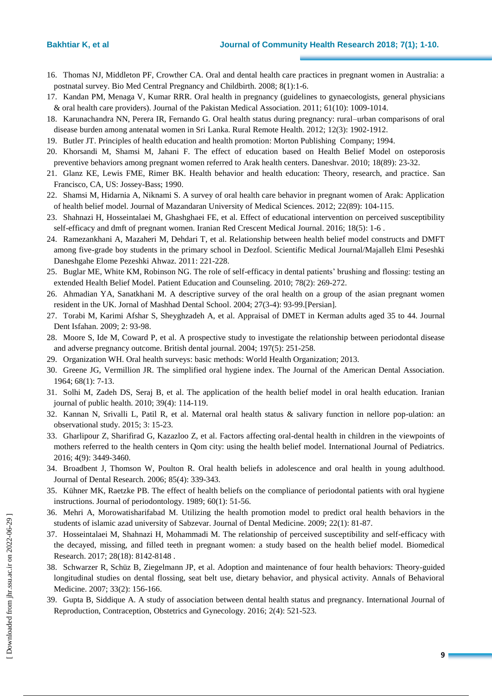- 16. Thomas NJ, Middleton PF, Crowther CA. Oral and dental health care practices in pregnant women in Australia: a postnatal survey. Bio Med Central Pregnancy and Childbirth. 2008; 8(1):1-6.
- 17. Kandan PM, Menaga V, Kumar RRR. Oral health in pregnancy (guidelines to gynaecologists, general physicians & oral health care providers). Journal of the Pakistan Medical Association. 2011; 61(10): 1009-1014.
- 18. Karunachandra NN, Perera IR, Fernando G. Oral health status during pregnancy: rural–urban comparisons of oral disease burden among antenatal women in Sri Lanka. Rural Remote Health. 2012; 12(3): 1902-1912.
- 19. Butler JT. Principles of health education and health promotion: Morton Publishing Company; 1994.
- 20. Khorsandi M, Shamsi M, Jahani F. The effect of education based on Health Belief Model on osteporosis preventive behaviors among pregnant women referred to Arak health centers. Daneshvar. 2010; 18(89): 23-32.
- 21. Glanz KE, Lewis FME, Rimer BK. Health behavior and health education: Theory, research, and practice. San Francisco, CA, US: Jossey-Bass; 1990.
- 22. Shamsi M, Hidarnia A, Niknami S. A survey of oral health care behavior in pregnant women of Arak: Application of health belief model. Journal of Mazandaran University of Medical Sciences. 2012; 22(89): 104-115.
- 23. Shahnazi H, Hosseintalaei M, Ghashghaei FE, et al. Effect of educational intervention on perceived susceptibility self-efficacy and dmft of pregnant women. Iranian Red Crescent Medical Journal. 2016; 18(5): 1-6 .
- 24. Ramezankhani A, Mazaheri M, Dehdari T, et al. Relationship between health belief model constructs and DMFT among five-grade boy students in the primary school in Dezfool. Scientific Medical Journal/Majalleh Elmi Peseshki Daneshgahe Elome Pezeshki Ahwaz. 2011: 221-228.
- 25. Buglar ME, White KM, Robinson NG. The role of self-efficacy in dental patients' brushing and flossing: testing an extended Health Belief Model. Patient Education and Counseling. 2010; 78(2): 269-272.
- 26. Ahmadian YA, Sanatkhani M. A descriptive survey of the oral health on a group of the asian pregnant women resident in the UK. Jornal of Mashhad Dental School. 2004; 27(3-4): 93-99.[Persian].
- 27. Torabi M, Karimi Afshar S, Sheyghzadeh A, et al. Appraisal of DMET in Kerman adults aged 35 to 44. Journal Dent Isfahan. 2009; 2: 93-98.
- 28. Moore S, Ide M, Coward P, et al. A prospective study to investigate the relationship between periodontal disease and adverse pregnancy outcome. British dental journal. 2004; 197(5): 251-258.
- 29. Organization WH. Oral health surveys: basic methods: World Health Organization; 2013.
- 30. Greene JG, Vermillion JR. The simplified oral hygiene index. The Journal of the American Dental Association. 1964; 68(1): 7-13.
- 31. Solhi M, Zadeh DS, Seraj B, et al. The application of the health belief model in oral health education. Iranian journal of public health. 2010; 39(4): 114-119.
- 32. Kannan N, Srivalli L, Patil R, et al. Maternal oral health status & salivary function in nellore pop-ulation: an observational study. 2015; 3: 15-23.
- 33. Gharlipour Z, Sharifirad G, Kazazloo Z, et al. Factors affecting oral-dental health in children in the viewpoints of mothers referred to the health centers in Qom city: using the health belief model. International Journal of Pediatrics. 2016; 4(9): 3449-3460.
- 34. Broadbent J, Thomson W, Poulton R. Oral health beliefs in adolescence and oral health in young adulthood. Journal of Dental Research. 2006; 85(4): 339-343.
- 35. Kühner MK, Raetzke PB. The effect of health beliefs on the compliance of periodontal patients with oral hygiene instructions. Journal of periodontology. 1989; 60(1): 51-56.
- 36. Mehri A, Morowatisharifabad M. Utilizing the health promotion model to predict oral health behaviors in the students of islamic azad university of Sabzevar. Journal of Dental Medicine. 2009; 22(1): 81-87.
- 37. Hosseintalaei M, Shahnazi H, Mohammadi M. The relationship of perceived susceptibility and self-efficacy with the decayed, missing, and filled teeth in pregnant women: a study based on the health belief model. Biomedical Research. 2017; 28(18): 8142-8148 .
- 38. Schwarzer R, Schüz B, Ziegelmann JP, et al. Adoption and maintenance of four health behaviors: Theory-guided longitudinal studies on dental flossing, seat belt use, dietary behavior, and physical activity. Annals of Behavioral Medicine. 2007; 33(2): 156-166.
- 39. Gupta B, Siddique A. A study of association between dental health status and pregnancy. International Journal of Reproduction, Contraception, Obstetrics and Gynecology. 2016; 2(4): 521-523.